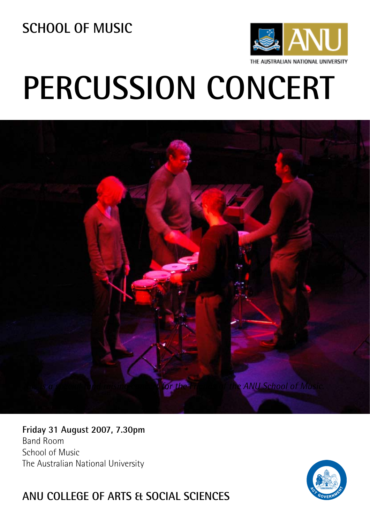**SCHOOL OF MUSIC**



# **PERCUSSION CONCERT**



### **Friday 31 August 2007, 7.30pm** Band Room School of Music The Australian National University



## **ANU COLLEGE OF ARTS & SOCIAL SCIENCES**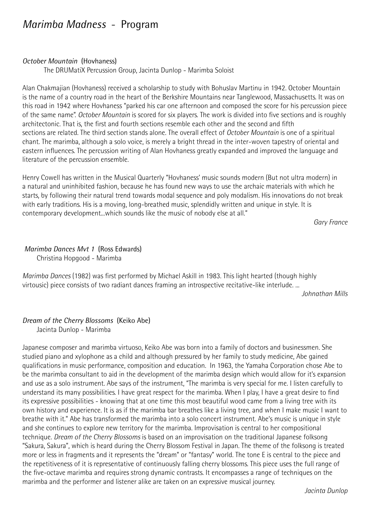## *Marimba Madness* - Program

#### *October Mountain* (Hovhaness)

The DRUMatiX Percussion Group, Jacinta Dunlop - Marimba Soloist

Alan Chakmajian (Hovhaness) received a scholarship to study with Bohuslav Martinu in 1942. October Mountain is the name of a country road in the heart of the Berkshire Mountains near Tanglewood, Massachusetts. It was on this road in 1942 where Hovhaness "parked his car one afternoon and composed the score for his percussion piece of the same name". *October Mountain* is scored for six players. The work is divided into five sections and is roughly architectonic. That is, the first and fourth sections resemble each other and the second and fifth sections are related. The third section stands alone. The overall effect of *October Mountain* is one of a spiritual chant. The marimba, although a solo voice, is merely a bright thread in the inter-woven tapestry of oriental and eastern influences. The percussion writing of Alan Hovhaness greatly expanded and improved the language and literature of the percussion ensemble.

Henry Cowell has written in the Musical Quarterly "Hovhaness' music sounds modern (But not ultra modern) in a natural and uninhibited fashion, because he has found new ways to use the archaic materials with which he starts, by following their natural trend towards modal sequence and poly modalism. His innovations do not break with early traditions. His is a moving, long-breathed music, splendidly written and unique in style. It is contemporary development...which sounds like the music of nobody else at all."

*Gary France*

#### *Marimba Dances Mvt 1* (Ross Edwards)

Christina Hopgood - Marimba

*Marimba Dances* (1982) was first performed by Michael Askill in 1983. This light hearted (though highly virtousic) piece consists of two radiant dances framing an introspective recitative-like interlude. ...

*Johnathan Mills*

## *Dream of the Cherry Blossoms* (Keiko Abe)

Jacinta Dunlop - Marimba

Japanese composer and marimba virtuoso, Keiko Abe was born into a family of doctors and businessmen. She studied piano and xylophone as a child and although pressured by her family to study medicine, Abe gained qualifications in music performance, composition and education. In 1963, the Yamaha Corporation chose Abe to be the marimba consultant to aid in the development of the marimba design which would allow for it's expansion and use as a solo instrument. Abe says of the instrument, "The marimba is very special for me. I listen carefully to understand its many possibilities. I have great respect for the marimba. When I play, I have a great desire to find its expressive possibilities - knowing that at one time this most beautiful wood came from a living tree with its own history and experience. It is as if the marimba bar breathes like a living tree, and when I make music I want to breathe with it." Abe has transformed the marimba into a solo concert instrument. Abe's music is unique in style and she continues to explore new territory for the marimba. Improvisation is central to her compositional technique. *Dream of the Cherry Blossoms* is based on an improvisation on the traditional Japanese folksong "Sakura, Sakura", which is heard during the Cherry Blossom Festival in Japan. The theme of the folksong is treated more or less in fragments and it represents the "dream" or "fantasy" world. The tone E is central to the piece and the repetitiveness of it is representative of continuously falling cherry blossoms. This piece uses the full range of the five-octave marimba and requires strong dynamic contrasts. It encompasses a range of techniques on the marimba and the performer and listener alike are taken on an expressive musical journey.

*Jacinta Dunlop*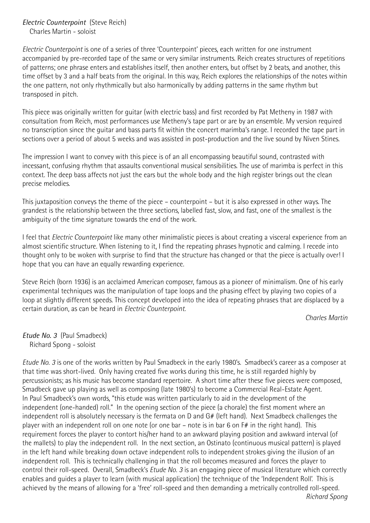*Electric Counterpoint* (Steve Reich) Charles Martin - soloist

*Electric Counterpoint* is one of a series of three 'Counterpoint' pieces, each written for one instrument accompanied by pre-recorded tape of the same or very similar instruments. Reich creates structures of repetitions of patterns; one phrase enters and establishes itself, then another enters, but offset by 2 beats, and another, this time offset by 3 and a half beats from the original. In this way, Reich explores the relationships of the notes within the one pattern, not only rhythmically but also harmonically by adding patterns in the same rhythm but transposed in pitch.

This piece was originally written for guitar (with electric bass) and first recorded by Pat Metheny in 1987 with consultation from Reich, most performances use Metheny's tape part or are by an ensemble. My version required no transcription since the guitar and bass parts fit within the concert marimba's range. I recorded the tape part in sections over a period of about 5 weeks and was assisted in post-production and the live sound by Niven Stines.

The impression I want to convey with this piece is of an all encompassing beautiful sound, contrasted with incessant, confusing rhythm that assaults conventional musical sensibilities. The use of marimba is perfect in this context. The deep bass affects not just the ears but the whole body and the high register brings out the clean precise melodies.

This juxtaposition conveys the theme of the piece – counterpoint – but it is also expressed in other ways. The grandest is the relationship between the three sections, labelled fast, slow, and fast, one of the smallest is the ambiguity of the time signature towards the end of the work.

I feel that *Electric Counterpoint* like many other minimalistic pieces is about creating a visceral experience from an almost scientific structure. When listening to it, I find the repeating phrases hypnotic and calming. I recede into thought only to be woken with surprise to find that the structure has changed or that the piece is actually over! I hope that you can have an equally rewarding experience.

Steve Reich (born 1936) is an acclaimed American composer, famous as a pioneer of minimalism. One of his early experimental techniques was the manipulation of tape loops and the phasing effect by playing two copies of a loop at slightly different speeds. This concept developed into the idea of repeating phrases that are displaced by a certain duration, as can be heard in *Electric Counterpoint.*

*Charles Martin*

*Etude No. 3* (Paul Smadbeck) Richard Spong - soloist

*Etude No. 3* is one of the works written by Paul Smadbeck in the early 1980's. Smadbeck's career as a composer at that time was short-lived. Only having created five works during this time, he is still regarded highly by percussionists; as his music has become standard repertoire. A short time after these five pieces were composed, Smadbeck gave up playing as well as composing (late 1980's) to become a Commercial Real-Estate Agent. In Paul Smadbeck's own words, "this etude was written particularly to aid in the development of the independent (one-handed) roll." In the opening section of the piece (a chorale) the first moment where an independent roll is absolutely necessary is the fermata on D and G# (left hand). Next Smadbeck challenges the player with an independent roll on one note (or one bar – note is in bar 6 on F# in the right hand). This requirement forces the player to contort his/her hand to an awkward playing position and awkward interval (of the mallets) to play the independent roll. In the next section, an Ostinato (continuous musical pattern) is played in the left hand while breaking down octave independent rolls to independent strokes giving the illusion of an independent roll. This is technically challenging in that the roll becomes measured and forces the player to control their roll-speed. Overall, Smadbeck's *Etude No. 3* is an engaging piece of musical literature which correctly enables and guides a player to learn (with musical application) the technique of the 'Independent Roll'. This is achieved by the means of allowing for a 'free' roll-speed and then demanding a metrically controlled roll-speed.  *Richard Spong*